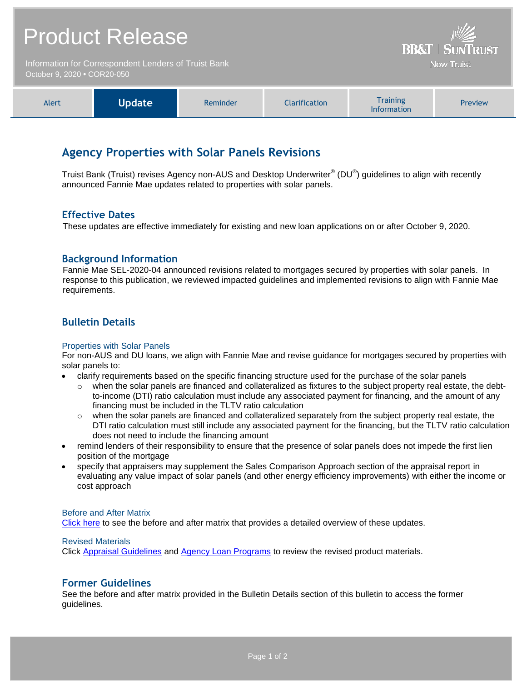| <b>Product Release</b>                                                              | $\frac{1}{2}$<br><b>BB&amp;T   SUNTRUST</b> |
|-------------------------------------------------------------------------------------|---------------------------------------------|
| Information for Correspondent Lenders of Truist Bank<br>October 9, 2020 • COR20-050 | <b>Now Truist</b>                           |

| Alert | Update | Reminder | <b>Clarification</b> | <b>Training</b><br><b>Information</b> | <b>Preview</b> |
|-------|--------|----------|----------------------|---------------------------------------|----------------|
|-------|--------|----------|----------------------|---------------------------------------|----------------|

# **Agency Properties with Solar Panels Revisions**

Truist Bank (Truist) revises Agency non-AUS and Desktop Underwriter® (DU®) guidelines to align with recently announced Fannie Mae updates related to properties with solar panels.

## **Effective Dates**

These updates are effective immediately for existing and new loan applications on or after October 9, 2020.

## **Background Information**

Fannie Mae SEL-2020-04 announced revisions related to mortgages secured by properties with solar panels. In response to this publication, we reviewed impacted guidelines and implemented revisions to align with Fannie Mae requirements.

# **Bulletin Details**

#### Properties with Solar Panels

For non-AUS and DU loans, we align with Fannie Mae and revise guidance for mortgages secured by properties with solar panels to:

- clarify requirements based on the specific financing structure used for the purchase of the solar panels
	- $\circ$  when the solar panels are financed and collateralized as fixtures to the subject property real estate, the debtto-income (DTI) ratio calculation must include any associated payment for financing, and the amount of any financing must be included in the TLTV ratio calculation
	- $\circ$  when the solar panels are financed and collateralized separately from the subject property real estate, the DTI ratio calculation must still include any associated payment for the financing, but the TLTV ratio calculation does not need to include the financing amount
- remind lenders of their responsibility to ensure that the presence of solar panels does not impede the first lien position of the mortgage
- specify that appraisers may supplement the Sales Comparison Approach section of the appraisal report in evaluating any value impact of solar panels (and other energy efficiency improvements) with either the income or cost approach

#### Before and After Matrix

[Click here](http://www.truistsellerguide.com/manual/cor/products/Cr20-050BA.pdf) to see the before and after matrix that provides a detailed overview of these updates.

#### Revised Materials

Click [Appraisal Guidelines](https://www.truistsellerguide.com/Manual/cor/general/1.07Appraisals.pdf) and [Agency Loan Programs](https://www.truistsellerguide.com/manual/cor/products/CAgency.pdf) to review the revised product materials.

### **Former Guidelines**

See the before and after matrix provided in the Bulletin Details section of this bulletin to access the former guidelines.